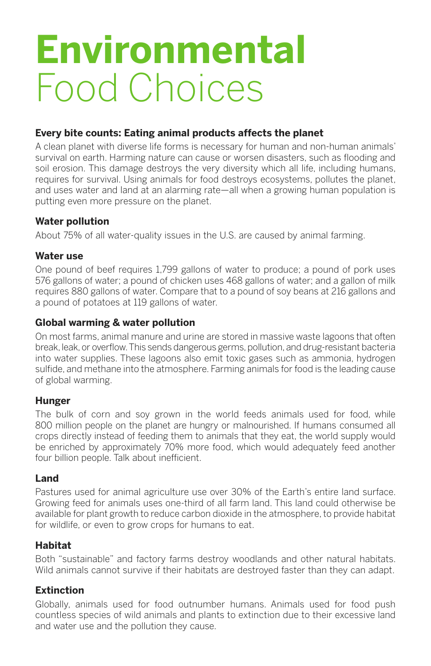# **Environmental** Food Choices

### **Every bite counts: Eating animal products affects the planet**

A clean planet with diverse life forms is necessary for human and non-human animals' survival on earth. Harming nature can cause or worsen disasters, such as flooding and soil erosion. This damage destroys the very diversity which all life, including humans, requires for survival. Using animals for food destroys ecosystems, pollutes the planet, and uses water and land at an alarming rate—all when a growing human population is putting even more pressure on the planet.

#### **Water pollution**

About 75% of all water-quality issues in the U.S. are caused by animal farming.

#### **Water use**

One pound of beef requires 1,799 gallons of water to produce; a pound of pork uses 576 gallons of water; a pound of chicken uses 468 gallons of water; and a gallon of milk requires 880 gallons of water. Compare that to a pound of soy beans at 216 gallons and a pound of potatoes at 119 gallons of water.

#### **Global warming & water pollution**

On most farms, animal manure and urine are stored in massive waste lagoons that often break, leak, or overflow.This sends dangerous germs, pollution, and drug-resistant bacteria into water supplies. These lagoons also emit toxic gases such as ammonia, hydrogen sulfide, and methane into the atmosphere. Farming animals for food is the leading cause of global warming.

### **Hunger**

The bulk of corn and soy grown in the world feeds animals used for food, while 800 million people on the planet are hungry or malnourished. If humans consumed all crops directly instead of feeding them to animals that they eat, the world supply would be enriched by approximately 70% more food, which would adequately feed another four billion people. Talk about inefficient.

### **Land**

Pastures used for animal agriculture use over 30% of the Earth's entire land surface. Growing feed for animals uses one-third of all farm land. This land could otherwise be available for plant growth to reduce carbon dioxide in the atmosphere, to provide habitat for wildlife, or even to grow crops for humans to eat.

### **Habitat**

Both "sustainable" and factory farms destroy woodlands and other natural habitats. Wild animals cannot survive if their habitats are destroyed faster than they can adapt.

### **Extinction**

Globally, animals used for food outnumber humans. Animals used for food push countless species of wild animals and plants to extinction due to their excessive land and water use and the pollution they cause.